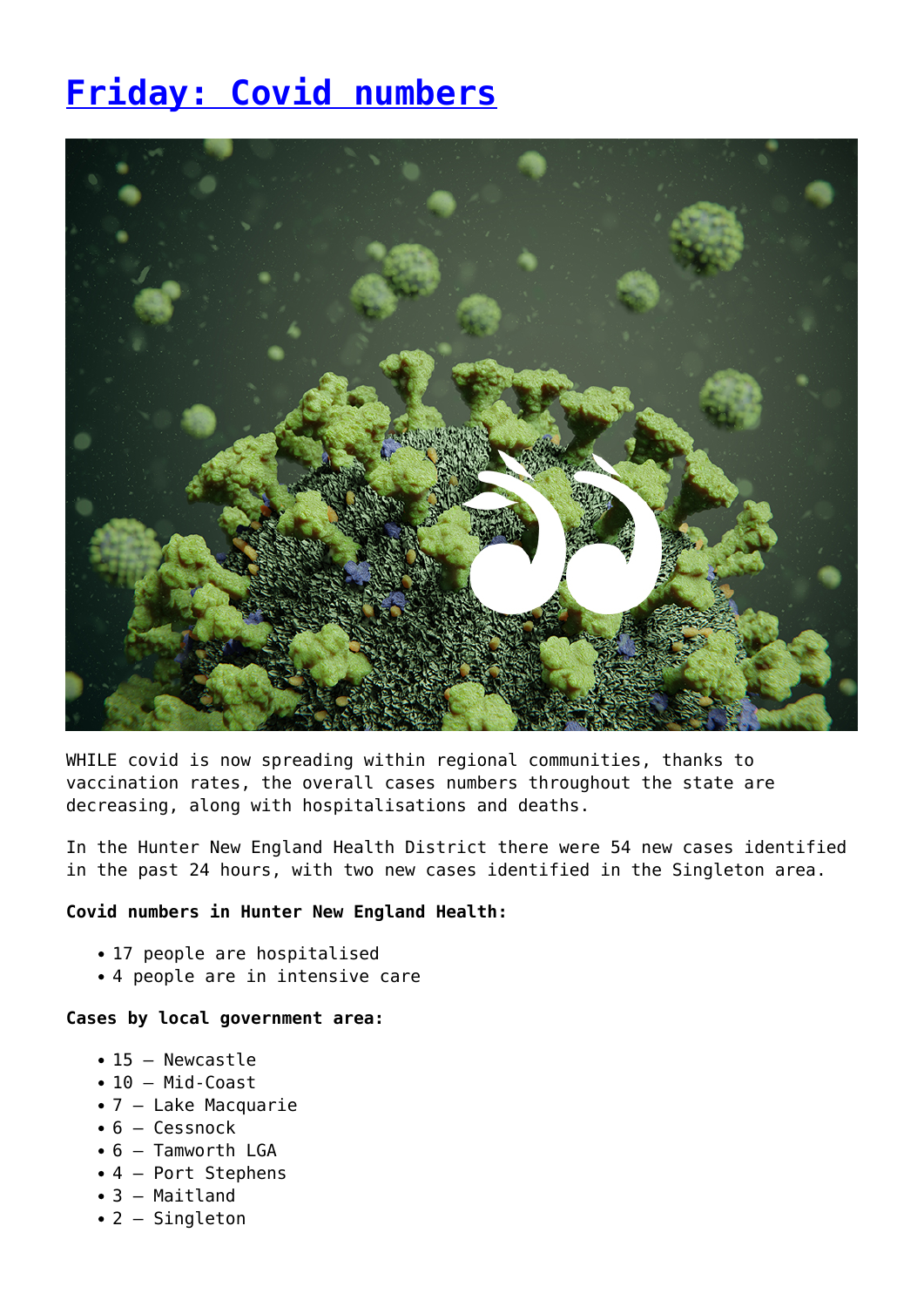# **[Friday: Covid numbers](https://www.singleton.net.au/friday-covid-numbers/)**



WHILE covid is now spreading within regional communities, thanks to vaccination rates, the overall cases numbers throughout the state are decreasing, along with hospitalisations and deaths.

In the Hunter New England Health District there were 54 new cases identified in the past 24 hours, with two new cases identified in the Singleton area.

#### **Covid numbers in Hunter New England Health:**

- 17 people are hospitalised
- 4 people are in intensive care

#### **Cases by local government area:**

- 15 Newcastle
- $\cdot$  10 Mid-Coast
- 7 Lake Macquarie
- $\bullet$  6 Cessnock
- 6 Tamworth LGA
- 4 Port Stephens
- 3 Maitland
- 2 Singleton